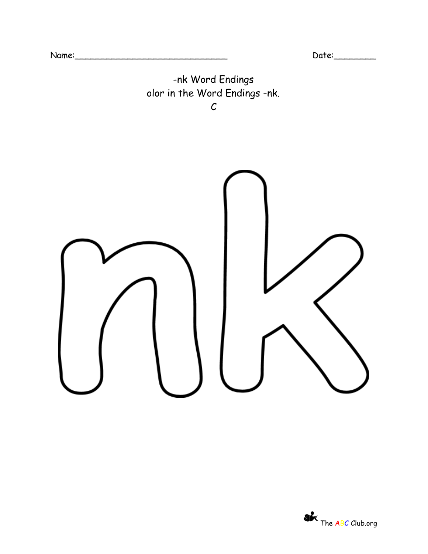

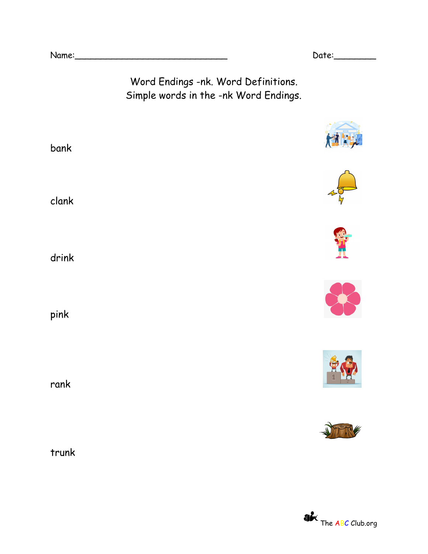Name:\_\_\_\_\_\_\_\_\_\_\_\_\_\_\_\_\_\_\_\_\_\_\_\_\_\_\_\_\_ Date:\_\_\_\_\_\_\_\_

 $\frac{1}{\sqrt{2}}\sum_{i=1}^{n} \frac{1}{\sqrt{2}}\sum_{i=1}^{n} \frac{1}{\sqrt{2}}\sum_{i=1}^{n} \frac{1}{\sqrt{2}}\sum_{i=1}^{n} \frac{1}{\sqrt{2}}\sum_{i=1}^{n} \frac{1}{\sqrt{2}}\sum_{i=1}^{n} \frac{1}{\sqrt{2}}\sum_{i=1}^{n} \frac{1}{\sqrt{2}}\sum_{i=1}^{n} \frac{1}{\sqrt{2}}\sum_{i=1}^{n} \frac{1}{\sqrt{2}}\sum_{i=1}^{n} \frac{1}{\sqrt{2}}\sum_{i=1}^{n}$ 

Word Endings -nk. Word Definitions. Simple words in the -nk Word Endings.

| bank  | 村村 |
|-------|----|
| clank |    |
| drink |    |
| pink  |    |
| rank  |    |
| trunk |    |

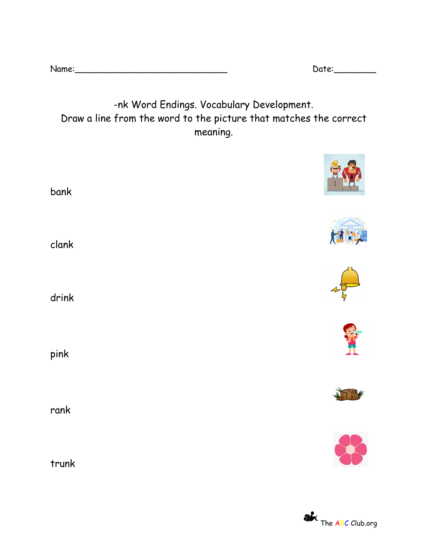| Name: |  |
|-------|--|
|       |  |
|       |  |

Name:\_\_\_\_\_\_\_\_\_\_\_\_\_\_\_\_\_\_\_\_\_\_\_\_\_\_\_\_\_ Date:\_\_\_\_\_\_\_\_

 $\theta$ <sup>8</sup>

## -nk Word Endings. Vocabulary Development. Draw a line from the word to the picture that matches the correct meaning.

| bank  | $\frac{1}{1}$<br>LA |
|-------|---------------------|
| clank | 样样                  |
| drink |                     |
| pink  |                     |
| rank  |                     |
| trunk |                     |

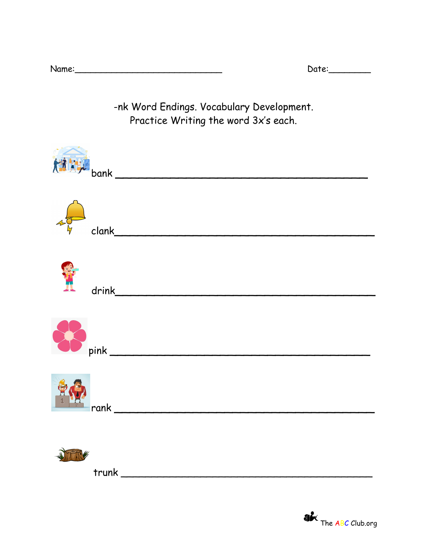$Date:$ 

-nk Word Endings. Vocabulary Development. Practice Writing the word 3x's each.

| $\left(\frac{1}{2}\right)^{1/2}$ bank |
|---------------------------------------|
|                                       |
| Ï                                     |
|                                       |
|                                       |
|                                       |

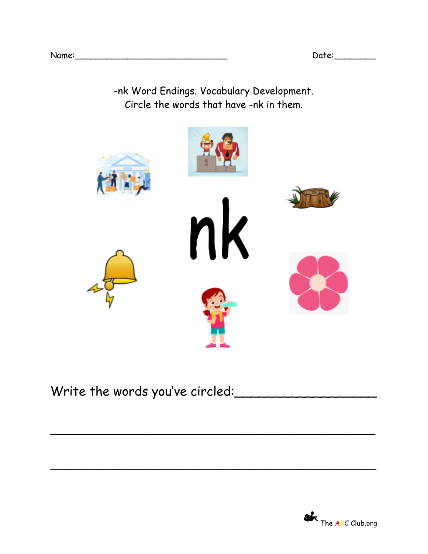-nk Word Endings. Vocabulary Development. Circle the words that have -nk in them.



\_\_\_\_\_\_\_\_\_\_\_\_\_\_\_\_\_\_\_\_\_\_\_\_\_\_\_\_\_\_\_\_\_\_\_\_\_\_\_\_\_\_\_\_\_\_\_\_\_\_\_\_\_

 $\overline{\phantom{a}}$ 

## Write the words you've circled: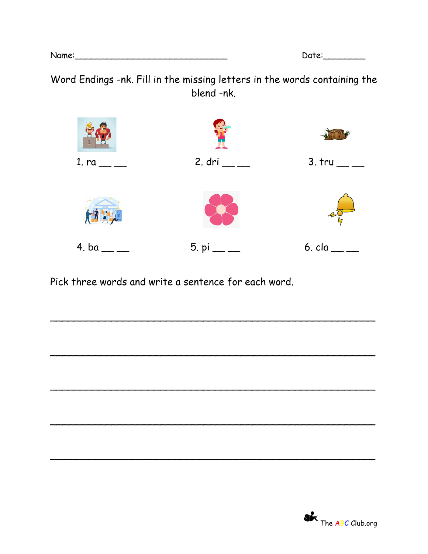| Date: |  |
|-------|--|
|       |  |

Word Endings -nk. Fill in the missing letters in the words containing the blend -nk.



\_\_\_\_\_\_\_\_\_\_\_\_\_\_\_\_\_\_\_\_\_\_\_\_\_\_\_\_\_\_\_\_\_\_\_\_\_\_\_\_\_\_\_\_\_\_\_\_\_\_\_\_\_

\_\_\_\_\_\_\_\_\_\_\_\_\_\_\_\_\_\_\_\_\_\_\_\_\_\_\_\_\_\_\_\_\_\_\_\_\_\_\_\_\_\_\_\_\_\_\_\_\_\_\_\_\_

\_\_\_\_\_\_\_\_\_\_\_\_\_\_\_\_\_\_\_\_\_\_\_\_\_\_\_\_\_\_\_\_\_\_\_\_\_\_\_\_\_\_\_\_\_\_\_\_\_\_\_\_\_

\_\_\_\_\_\_\_\_\_\_\_\_\_\_\_\_\_\_\_\_\_\_\_\_\_\_\_\_\_\_\_\_\_\_\_\_\_\_\_\_\_\_\_\_\_\_\_\_\_\_\_\_\_

Pick three words and write a sentence for each word.



Name:\_\_\_\_\_\_\_\_\_\_\_\_\_\_\_\_\_\_\_\_\_\_\_\_\_\_\_\_\_ Date:\_\_\_\_\_\_\_\_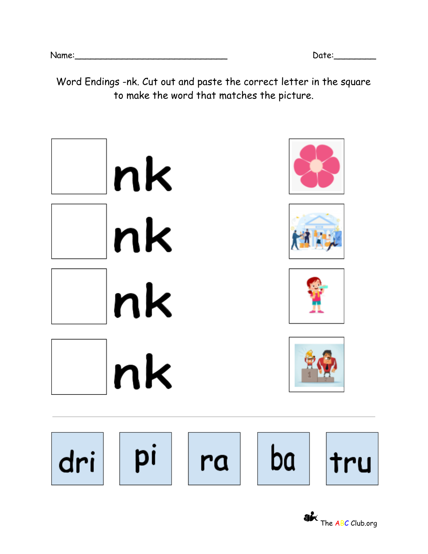Word Endings -nk. Cut out and paste the correct letter in the square to make the word that matches the picture.